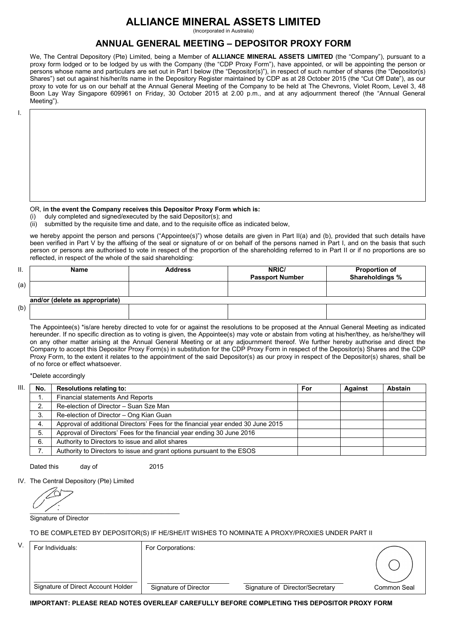# **ALLIANCE MINERAL ASSETS LIMITED**

(Incorporated in Australia)

## **ANNUAL GENERAL MEETING – DEPOSITOR PROXY FORM**

 We, The Central Depository (Pte) Limited, being a Member of **ALLIANCE MINERAL ASSETS LIMITED** (the "Company"), pursuant to a proxy form lodged or to be lodged by us with the Company (the "CDP Proxy Form"), have appointed, or will be appointing the person or persons whose name and particulars are set out in Part I below (the "Depositor(s)"), in respect of such number of shares (the "Depositor(s) Shares") set out against his/her/its name in the Depository Register maintained by CDP as at 28 October 2015 (the "Cut Off Date"), as our proxy to vote for us on our behalf at the Annual General Meeting of the Company to be held at The Chevrons, Violet Room, Level 3, 48 Boon Lay Way Singapore 609961 on Friday, 30 October 2015 at 2.00 p.m., and at any adjournment thereof (the "Annual General Meeting").

I.

## OR, **in the event the Company receives this Depositor Proxy Form which is:**

(i) duly completed and signed/executed by the said Depositor(s); and

(ii) submitted by the requisite time and date, and to the requisite office as indicated below,

we hereby appoint the person and persons ("Appointee(s)") whose details are given in Part II(a) and (b), provided that such details have been verified in Part V by the affixing of the seal or signature of or on behalf of the persons named in Part I, and on the basis that such person or persons are authorised to vote in respect of the proportion of the shareholding referred to in Part II or if no proportions are so reflected, in respect of the whole of the said shareholding:

| Ш.  | Name                           | <b>Address</b> | NRIC/                  | <b>Proportion of</b> |
|-----|--------------------------------|----------------|------------------------|----------------------|
|     |                                |                | <b>Passport Number</b> | Shareholdings %      |
| (a) |                                |                |                        |                      |
|     |                                |                |                        |                      |
|     | and/or (delete as appropriate) |                |                        |                      |
| (b) |                                |                |                        |                      |
|     |                                |                |                        |                      |

 The Appointee(s) \*is/are hereby directed to vote for or against the resolutions to be proposed at the Annual General Meeting as indicated hereunder. If no specific direction as to voting is given, the Appointee(s) may vote or abstain from voting at his/her/they, as he/she/they will on any other matter arising at the Annual General Meeting or at any adjournment thereof. We further hereby authorise and direct the Company to accept this Depositor Proxy Form(s) in substitution for the CDP Proxy Form in respect of the Depositor(s) Shares and the CDP Proxy Form, to the extent it relates to the appointment of the said Depositor(s) as our proxy in respect of the Depositor(s) shares, shall be of no force or effect whatsoever.

\*Delete accordingly

| III. | No. | <b>Resolutions relating to:</b>                                                  | For | <b>Against</b> | <b>Abstain</b> |
|------|-----|----------------------------------------------------------------------------------|-----|----------------|----------------|
|      |     | Financial statements And Reports                                                 |     |                |                |
|      |     | Re-election of Director - Suan Sze Man                                           |     |                |                |
|      | 3.  | Re-election of Director - Ong Kian Guan                                          |     |                |                |
|      | -4. | Approval of additional Directors' Fees for the financial year ended 30 June 2015 |     |                |                |
|      | 5.  | Approval of Directors' Fees for the financial year ending 30 June 2016           |     |                |                |
|      | 6.  | Authority to Directors to issue and allot shares                                 |     |                |                |
|      |     | Authority to Directors to issue and grant options pursuant to the ESOS           |     |                |                |

Dated this day of 2015

IV. The Central Depository (Pte) Limited

 $\frac{1}{2}$  ,  $\frac{1}{2}$  ,  $\frac{1}{2}$  ,  $\frac{1}{2}$  ,  $\frac{1}{2}$  ,  $\frac{1}{2}$  ,  $\frac{1}{2}$  ,  $\frac{1}{2}$  ,  $\frac{1}{2}$  ,  $\frac{1}{2}$  ,  $\frac{1}{2}$  ,  $\frac{1}{2}$  ,  $\frac{1}{2}$  ,  $\frac{1}{2}$  ,  $\frac{1}{2}$  ,  $\frac{1}{2}$  ,  $\frac{1}{2}$  ,  $\frac{1}{2}$  ,  $\frac{1$ 

Signature of Director

TO BE COMPLETED BY DEPOSITOR(S) IF HE/SHE/IT WISHES TO NOMINATE A PROXY/PROXIES UNDER PART II

| V. | For Individuals:                   | For Corporations:     |                                 |             |
|----|------------------------------------|-----------------------|---------------------------------|-------------|
|    |                                    |                       |                                 |             |
|    | Signature of Direct Account Holder | Signature of Director | Signature of Director/Secretary | Common Seal |

**IMPORTANT: PLEASE READ NOTES OVERLEAF CAREFULLY BEFORE COMPLETING THIS DEPOSITOR PROXY FORM**